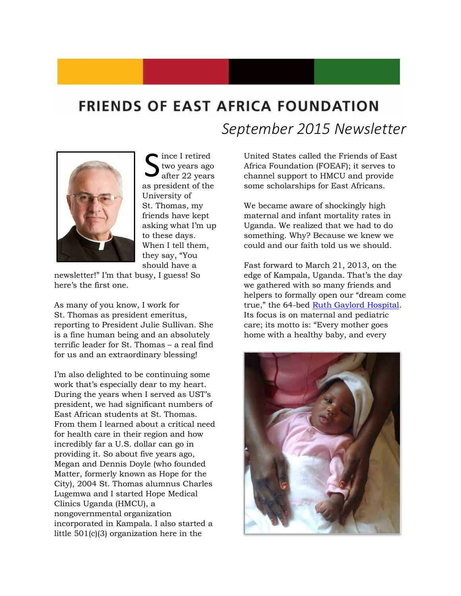## **FRIENDS OF EAST AFRICA FOUNDATION** *September 2015 Newsletter*



ince I retired two years ago after 22 years Since I retired<br>two years ago<br>as president of the University of St. Thomas, my friends have kept asking what I'm up to these days. When I tell them, they say, "You should have a

newsletter!" I'm that busy, I guess! So here's the first one.

As many of you know, I work for St. Thomas as president emeritus, reporting to President Julie Sullivan. She is a fine human being and an absolutely terrific leader for St. Thomas – a real find for us and an extraordinary blessing!

I'm also delighted to be continuing some work that's especially dear to my heart. During the years when I served as UST's president, we had significant numbers of East African students at St. Thomas. From them I learned about a critical need for health care in their region and how incredibly far a U.S. dollar can go in providing it. So about five years ago, Megan and Dennis Doyle (who founded Matter, formerly known as Hope for the City), 2004 St. Thomas alumnus Charles Lugemwa and I started Hope Medical Clinics Uganda (HMCU), a nongovernmental organization incorporated in Kampala. I also started a little 501(c)(3) organization here in the

United States called the Friends of East Africa Foundation (FOEAF); it serves to channel support to HMCU and provide some scholarships for East Africans.

We became aware of shockingly high maternal and infant mortality rates in Uganda. We realized that we had to do something. Why? Because we knew we could and our faith told us we should.

Fast forward to March 21, 2013, on the edge of Kampala, Uganda. That's the day we gathered with so many friends and helpers to formally open our "dream come true," the 64-bed [Ruth Gaylord Hospital.](http://www.ruthgaylordhospital.org/) Its focus is on maternal and pediatric care; its motto is: "Every mother goes home with a healthy baby, and every

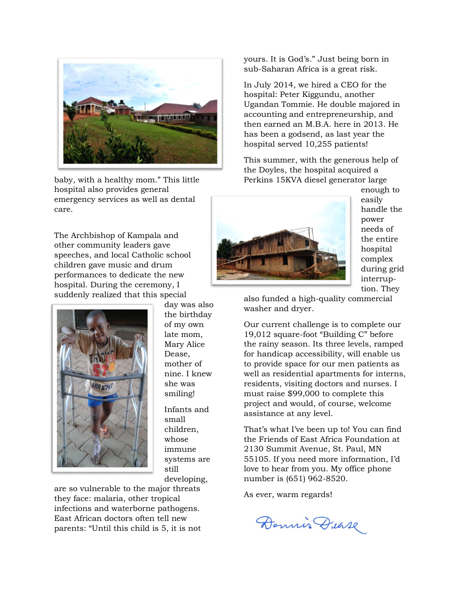

baby, with a healthy mom." This little hospital also provides general emergency services as well as dental care.

The Archbishop of Kampala and other community leaders gave speeches, and local Catholic school children gave music and drum performances to dedicate the new hospital. During the ceremony, I suddenly realized that this special



day was also the birthday of my own late mom, Mary Alice Dease, mother of nine. I knew she was smiling!

Infants and small children, whose immune systems are still developing,

are so vulnerable to the major threats they face: malaria, other tropical infections and waterborne pathogens. East African doctors often tell new parents: "Until this child is 5, it is not yours. It is God's." Just being born in sub-Saharan Africa is a great risk.

In July 2014, we hired a CEO for the hospital: Peter Kiggundu, another Ugandan Tommie. He double majored in accounting and entrepreneurship, and then earned an M.B.A. here in 2013. He has been a godsend, as last year the hospital served 10,255 patients!

This summer, with the generous help of the Doyles, the hospital acquired a Perkins 15KVA diesel generator large



enough to easily handle the power needs of the entire hospital complex during grid interruption. They

also funded a high-quality commercial washer and dryer.

Our current challenge is to complete our 19,012 square-foot "Building C" before the rainy season. Its three levels, ramped for handicap accessibility, will enable us to provide space for our men patients as well as residential apartments for interns, residents, visiting doctors and nurses. I must raise \$99,000 to complete this project and would, of course, welcome assistance at any level.

That's what I've been up to! You can find the Friends of East Africa Foundation at 2130 Summit Avenue, St. Paul, MN 55105. If you need more information, I'd love to hear from you. My office phone number is (651) 962-8520.

As ever, warm regards!

Dennis Dease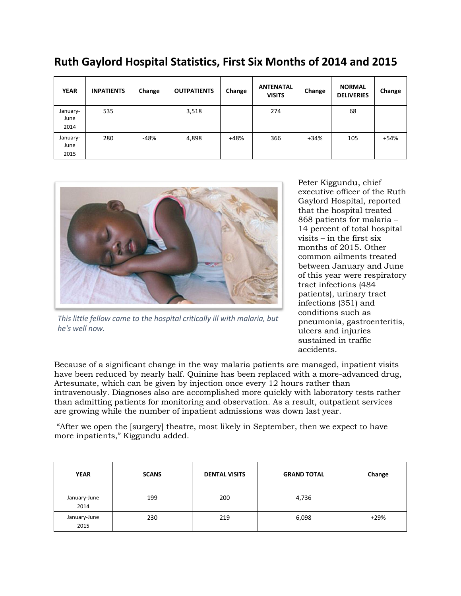| <b>YEAR</b>              | <b>INPATIENTS</b> | Change | <b>OUTPATIENTS</b> | Change | <b>ANTENATAL</b><br><b>VISITS</b> | Change | <b>NORMAL</b><br><b>DELIVERIES</b> | Change |
|--------------------------|-------------------|--------|--------------------|--------|-----------------------------------|--------|------------------------------------|--------|
| January-<br>June<br>2014 | 535               |        | 3,518              |        | 274                               |        | 68                                 |        |
| January-<br>June<br>2015 | 280               | $-48%$ | 4,898              | $+48%$ | 366                               | $+34%$ | 105                                | +54%   |

## **Ruth Gaylord Hospital Statistics, First Six Months of 2014 and 2015**



*This little fellow came to the hospital critically ill with malaria, but he's well now.*

Peter Kiggundu, chief executive officer of the Ruth Gaylord Hospital, reported that the hospital treated 868 patients for malaria – 14 percent of total hospital visits – in the first six months of 2015. Other common ailments treated between January and June of this year were respiratory tract infections (484 patients), urinary tract infections (351) and conditions such as pneumonia, gastroenteritis, ulcers and injuries sustained in traffic accidents.

Because of a significant change in the way malaria patients are managed, inpatient visits have been reduced by nearly half. Quinine has been replaced with a more-advanced drug, Artesunate, which can be given by injection once every 12 hours rather than intravenously. Diagnoses also are accomplished more quickly with laboratory tests rather than admitting patients for monitoring and observation. As a result, outpatient services are growing while the number of inpatient admissions was down last year.

"After we open the [surgery] theatre, most likely in September, then we expect to have more inpatients," Kiggundu added.

| <b>YEAR</b>          | <b>SCANS</b> | <b>DENTAL VISITS</b> | <b>GRAND TOTAL</b> | Change |
|----------------------|--------------|----------------------|--------------------|--------|
| January-June<br>2014 | 199          | 200                  | 4,736              |        |
| January-June<br>2015 | 230          | 219                  | 6,098              | $+29%$ |